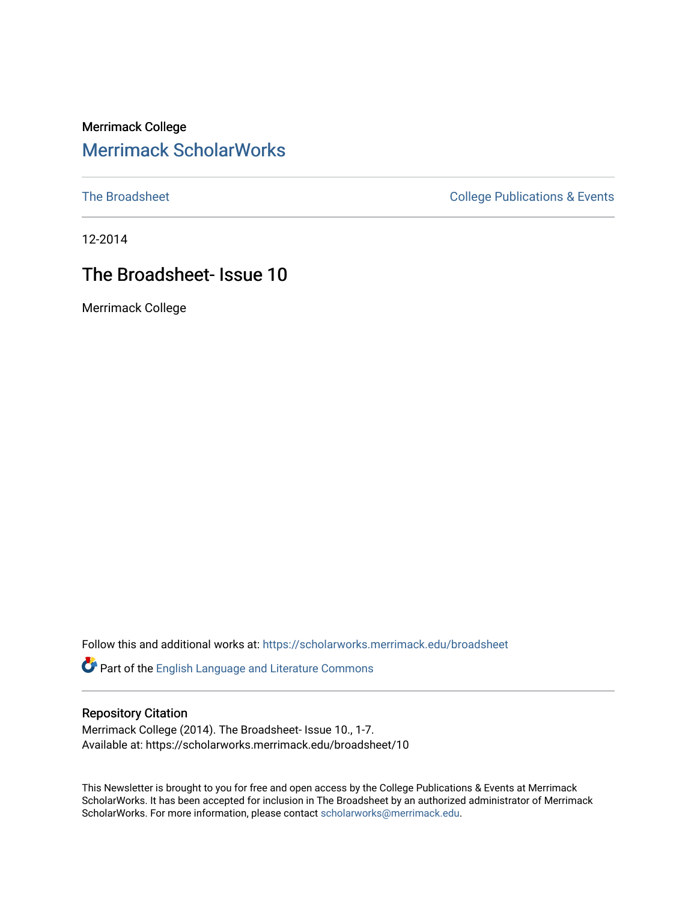### Merrimack College [Merrimack ScholarWorks](https://scholarworks.merrimack.edu/)

[The Broadsheet](https://scholarworks.merrimack.edu/broadsheet) **College Publications & Events** 

12-2014

## The Broadsheet- Issue 10

Merrimack College

Follow this and additional works at: [https://scholarworks.merrimack.edu/broadsheet](https://scholarworks.merrimack.edu/broadsheet?utm_source=scholarworks.merrimack.edu%2Fbroadsheet%2F10&utm_medium=PDF&utm_campaign=PDFCoverPages) 

Part of the [English Language and Literature Commons](http://network.bepress.com/hgg/discipline/455?utm_source=scholarworks.merrimack.edu%2Fbroadsheet%2F10&utm_medium=PDF&utm_campaign=PDFCoverPages)

### Repository Citation

Merrimack College (2014). The Broadsheet- Issue 10., 1-7. Available at: https://scholarworks.merrimack.edu/broadsheet/10

This Newsletter is brought to you for free and open access by the College Publications & Events at Merrimack ScholarWorks. It has been accepted for inclusion in The Broadsheet by an authorized administrator of Merrimack ScholarWorks. For more information, please contact [scholarworks@merrimack.edu.](mailto:scholarworks@merrimack.edu)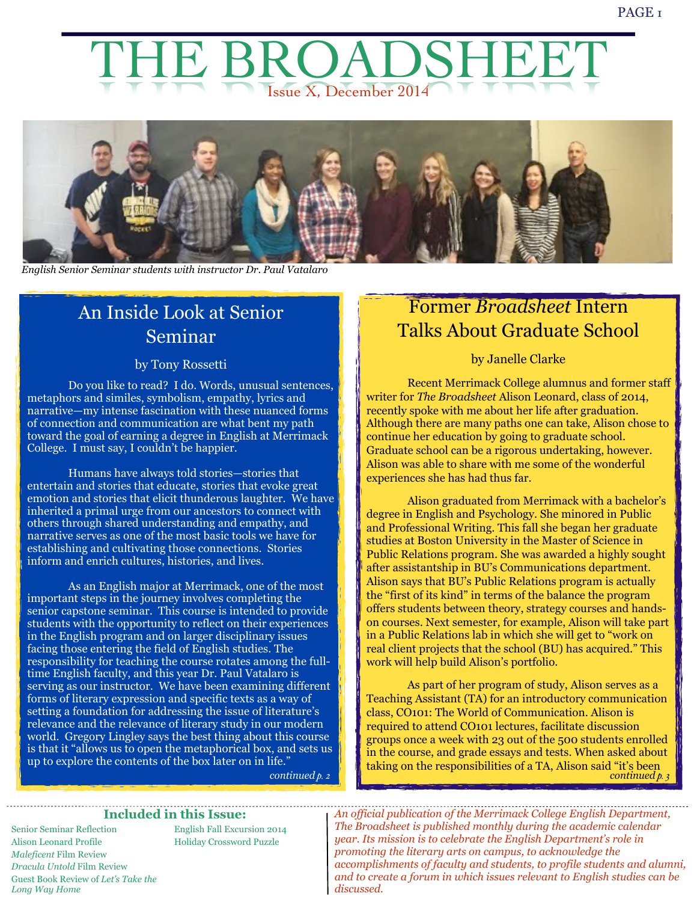# Issue X, December 2014 THRIA



*English Senior Seminar students with instructor Dr. Paul Vatalaro*

# An Inside Look at Senior Seminar

### by Tony Rossetti

 Do you like to read? I do. Words, unusual sentences, metaphors and similes, symbolism, empathy, lyrics and narrative—my intense fascination with these nuanced forms of connection and communication are what bent my path toward the goal of earning a degree in English at Merrimack College. I must say, I couldn't be happier.

Humans have always told stories—stories that entertain and stories that educate, stories that evoke great emotion and stories that elicit thunderous laughter. We have inherited a primal urge from our ancestors to connect with others through shared understanding and empathy, and narrative serves as one of the most basic tools we have for establishing and cultivating those connections. Stories inform and enrich cultures, histories, and lives.

 As an English major at Merrimack, one of the most important steps in the journey involves completing the senior capstone seminar. This course is intended to provide students with the opportunity to reflect on their experiences in the English program and on larger disciplinary issues facing those entering the field of English studies. The responsibility for teaching the course rotates among the fulltime English faculty, and this year Dr. Paul Vatalaro is serving as our instructor. We have been examining different forms of literary expression and specific texts as a way of setting a foundation for addressing the issue of literature's relevance and the relevance of literary study in our modern world. Gregory Lingley says the best thing about this course is that it "allows us to open the metaphorical box, and sets us up to explore the contents of the box later on in life."

# Former *Broadsheet* Intern Talks About Graduate School

### by Janelle Clarke

 Recent Merrimack College alumnus and former staff writer for *The Broadsheet* Alison Leonard, class of 2014, recently spoke with me about her life after graduation. Although there are many paths one can take, Alison chose to continue her education by going to graduate school. Graduate school can be a rigorous undertaking, however. Alison was able to share with me some of the wonderful experiences she has had thus far.

 Alison graduated from Merrimack with a bachelor's degree in English and Psychology. She minored in Public and Professional Writing. This fall she began her graduate studies at Boston University in the Master of Science in Public Relations program. She was awarded a highly sought after assistantship in BU's Communications department. Alison says that BU's Public Relations program is actually the "first of its kind" in terms of the balance the program offers students between theory, strategy courses and handson courses. Next semester, for example, Alison will take part in a Public Relations lab in which she will get to "work on real client projects that the school (BU) has acquired." This work will help build Alison's portfolio.

 As part of her program of study, Alison serves as a Teaching Assistant (TA) for an introductory communication class, CO101: The World of Communication. Alison is required to attend CO101 lectures, facilitate discussion groups once a week with 23 out of the 500 students enrolled in the course, and grade essays and tests. When asked about taking on the responsibilities of a TA, Alison said "it's been *continued p. 2 continued p. 3*

### **Included in this Issue:**

 *Maleficent* Film Review Senior Seminar Reflection Alison Leonard Profile *Dracula Untold* Film Review Guest Book Review of *Let's Take the Long Way Home*

English Fall Excursion 2014 Holiday Crossword Puzzle

 *An official publication of the Merrimack College English Department, The Broadsheet is published monthly during the academic calendar year. Its mission is to celebrate the English Department's role in promoting the literary arts on campus, to acknowledge the accomplishments of faculty and students, to profile students and alumni, and to create a forum in which issues relevant to English studies can be discussed.*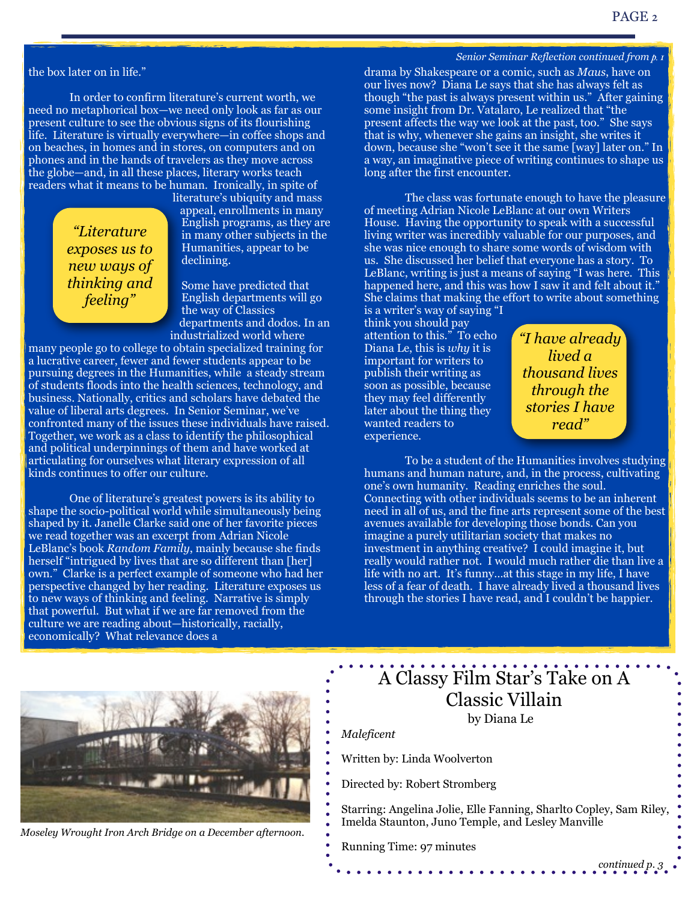#### the box later on in life."

 In order to confirm literature's current worth, we need no metaphorical box—we need only look as far as our present culture to see the obvious signs of its flourishing life. Literature is virtually everywhere—in coffee shops and on beaches, in homes and in stores, on computers and on phones and in the hands of travelers as they move across the globe—and, in all these places, literary works teach readers what it means to be human. Ironically, in spite of

> *"Literature exposes us to new ways of thinking and feeling"*

literature's ubiquity and mass appeal, enrollments in many English programs, as they are in many other subjects in the Humanities, appear to be declining.

Some have predicted that English departments will go the way of Classics departments and dodos. In an industrialized world where

many people go to college to obtain specialized training for a lucrative career, fewer and fewer students appear to be pursuing degrees in the Humanities, while a steady stream of students floods into the health sciences, technology, and business. Nationally, critics and scholars have debated the value of liberal arts degrees. In Senior Seminar, we've confronted many of the issues these individuals have raised. Together, we work as a class to identify the philosophical and political underpinnings of them and have worked at articulating for ourselves what literary expression of all kinds continues to offer our culture.

 One of literature's greatest powers is its ability to shape the socio-political world while simultaneously being shaped by it. Janelle Clarke said one of her favorite pieces we read together was an excerpt from Adrian Nicole LeBlanc's book *Random Family*, mainly because she finds herself "intrigued by lives that are so different than [her] own." Clarke is a perfect example of someone who had her perspective changed by her reading. Literature exposes us to new ways of thinking and feeling. Narrative is simply that powerful. But what if we are far removed from the culture we are reading about—historically, racially, economically? What relevance does a

*Senior Seminar Reflection continued from p. 1*

drama by Shakespeare or a comic, such as *Maus*, have on our lives now? Diana Le says that she has always felt as though "the past is always present within us." After gaining some insight from Dr. Vatalaro, Le realized that "the present affects the way we look at the past, too." She says that is why, whenever she gains an insight, she writes it down, because she "won't see it the same [way] later on." In a way, an imaginative piece of writing continues to shape us long after the first encounter.

 The class was fortunate enough to have the pleasure of meeting Adrian Nicole LeBlanc at our own Writers House. Having the opportunity to speak with a successful living writer was incredibly valuable for our purposes, and she was nice enough to share some words of wisdom with us. She discussed her belief that everyone has a story. To LeBlanc, writing is just a means of saying "I was here. This happened here, and this was how I saw it and felt about it." She claims that making the effort to write about something is a writer's way of saying "I

think you should pay attention to this." To echo Diana Le, this is *why* it is important for writers to publish their writing as soon as possible, because they may feel differently later about the thing they wanted readers to experience.

*"I have already lived a thousand lives through the stories I have read"*

 To be a student of the Humanities involves studying humans and human nature, and, in the process, cultivating one's own humanity. Reading enriches the soul. Connecting with other individuals seems to be an inherent need in all of us, and the fine arts represent some of the best avenues available for developing those bonds. Can you imagine a purely utilitarian society that makes no investment in anything creative? I could imagine it, but really would rather not. I would much rather die than live a life with no art. It's funny…at this stage in my life, I have less of a fear of death. I have already lived a thousand lives through the stories I have read, and I couldn't be happier.



*Moseley Wrought Iron Arch Bridge on a December afternoon.*

# A Classy Film Star's Take on A Classic Villain

by Diana Le

*Maleficent*

Written by: Linda Woolverton

Directed by: Robert Stromberg

Starring: Angelina Jolie, Elle Fanning, Sharlto Copley, Sam Riley, Imelda Staunton, Juno Temple, and Lesley Manville

Running Time: 97 minutes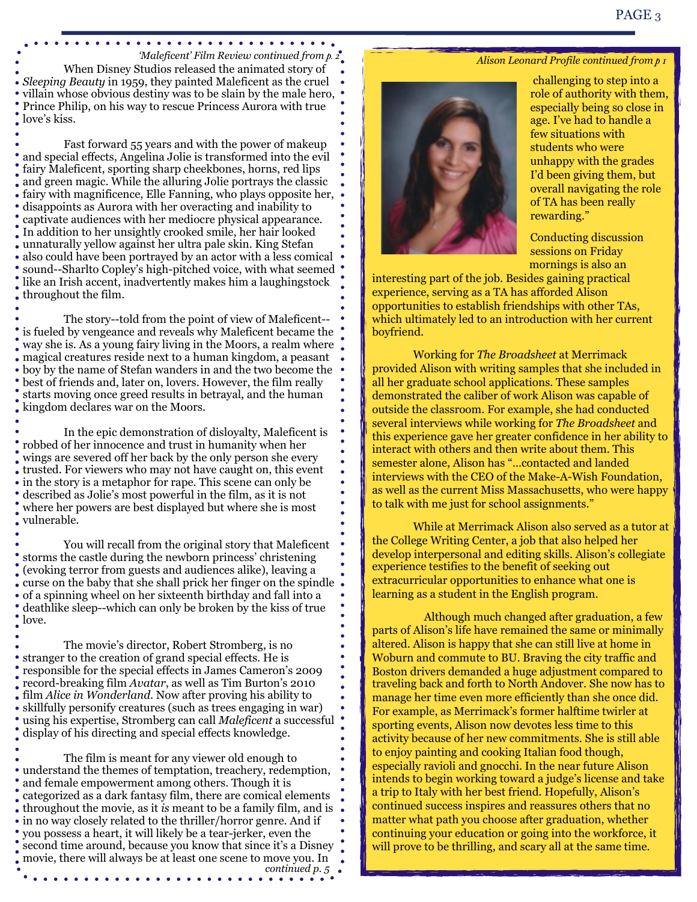When Disney Studios released the animated story of *Sleeping Beauty* in 1959, they painted Maleficent as the cruel villain whose obvious destiny was to be slain by the male hero, Prince Philip, on his way to rescue Princess Aurora with true love's kiss. *'Maleficent' Film Review continued from p. 2*

. . . . . . . . . . . . . . . . .

 Fast forward 55 years and with the power of makeup and special effects, Angelina Jolie is transformed into the evil fairy Maleficent, sporting sharp cheekbones, horns, red lips and green magic. While the alluring Jolie portrays the classic fairy with magnificence, Elle Fanning, who plays opposite her, disappoints as Aurora with her overacting and inability to captivate audiences with her mediocre physical appearance. In addition to her unsightly crooked smile, her hair looked unnaturally yellow against her ultra pale skin. King Stefan also could have been portrayed by an actor with a less comical sound--Sharlto Copley's high-pitched voice, with what seemed like an Irish accent, inadvertently makes him a laughingstock throughout the film.

 The story--told from the point of view of Maleficent- is fueled by vengeance and reveals why Maleficent became the way she is. As a young fairy living in the Moors, a realm where magical creatures reside next to a human kingdom, a peasant boy by the name of Stefan wanders in and the two become the best of friends and, later on, lovers. However, the film really starts moving once greed results in betrayal, and the human kingdom declares war on the Moors.

 In the epic demonstration of disloyalty, Maleficent is robbed of her innocence and trust in humanity when her wings are severed off her back by the only person she every trusted. For viewers who may not have caught on, this event in the story is a metaphor for rape. This scene can only be described as Jolie's most powerful in the film, as it is not where her powers are best displayed but where she is most vulnerable.

 $\bullet$ 

 You will recall from the original story that Maleficent storms the castle during the newborn princess' christening (evoking terror from guests and audiences alike), leaving a curse on the baby that she shall prick her finger on the spindle of a spinning wheel on her sixteenth birthday and fall into a deathlike sleep--which can only be broken by the kiss of true love.

 The movie's director, Robert Stromberg, is no stranger to the creation of grand special effects. He is responsible for the special effects in James Cameron's 2009 record-breaking film *Avatar*, as well as Tim Burton's 2010 film *Alice in Wonderland*. Now after proving his ability to skillfully personify creatures (such as trees engaging in war) using his expertise, Stromberg can call *Maleficent* a successful display of his directing and special effects knowledge.

 The film is meant for any viewer old enough to understand the themes of temptation, treachery, redemption, and female empowerment among others. Though it is categorized as a dark fantasy film, there are comical elements throughout the movie, as it *is* meant to be a family film, and is in no way closely related to the thriller/horror genre. And if you possess a heart, it will likely be a tear-jerker, even the second time around, because you know that since it's a Disney movie, there will always be at least one scene to move you. In *continued p. 5*

### *Alison Leonard Profile continued from p 1*



 challenging to step into a role of authority with them, especially being so close in age. I've had to handle a few situations with students who were unhappy with the grades I'd been giving them, but overall navigating the role of TA has been really rewarding."

Conducting discussion sessions on Friday mornings is also an

interesting part of the job. Besides gaining practical experience, serving as a TA has afforded Alison opportunities to establish friendships with other TAs, which ultimately led to an introduction with her current boyfriend.

 Working for *The Broadsheet* at Merrimack provided Alison with writing samples that she included in all her graduate school applications. These samples demonstrated the caliber of work Alison was capable of outside the classroom. For example, she had conducted several interviews while working for *The Broadsheet* and this experience gave her greater confidence in her ability to interact with others and then write about them. This semester alone, Alison has "…contacted and landed interviews with the CEO of the Make-A-Wish Foundation, as well as the current Miss Massachusetts, who were happy to talk with me just for school assignments."

While at Merrimack Alison also served as a tutor at the College Writing Center, a job that also helped her develop interpersonal and editing skills. Alison's collegiate experience testifies to the benefit of seeking out extracurricular opportunities to enhance what one is learning as a student in the English program.

 Although much changed after graduation, a few parts of Alison's life have remained the same or minimally altered. Alison is happy that she can still live at home in Woburn and commute to BU. Braving the city traffic and Boston drivers demanded a huge adjustment compared to traveling back and forth to North Andover. She now has to manage her time even more efficiently than she once did. For example, as Merrimack's former halftime twirler at sporting events, Alison now devotes less time to this activity because of her new commitments. She is still able to enjoy painting and cooking Italian food though, especially ravioli and gnocchi. In the near future Alison intends to begin working toward a judge's license and take a trip to Italy with her best friend. Hopefully, Alison's continued success inspires and reassures others that no matter what path you choose after graduation, whether continuing your education or going into the workforce, it will prove to be thrilling, and scary all at the same time.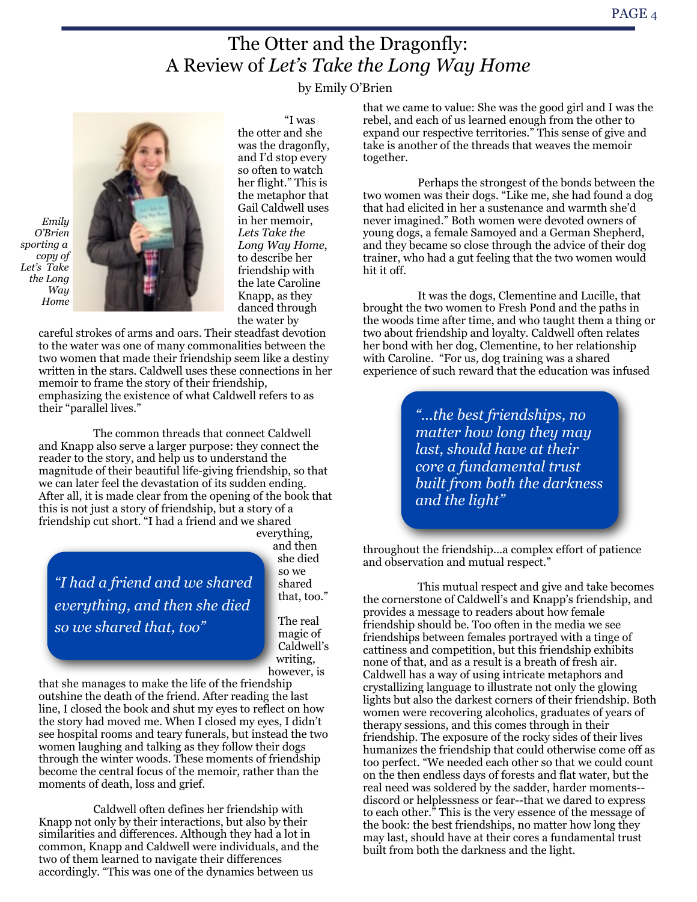# The Otter and the Dragonfly: A Review of *Let's Take the Long Way Home*

by Emily O'Brien



 "I was the otter and she was the dragonfly, and I'd stop every so often to watch her flight." This is the metaphor that Gail Caldwell uses in her memoir, *Lets Take the Long Way Home*, to describe her friendship with the late Caroline Knapp, as they danced through the water by

careful strokes of arms and oars. Their steadfast devotion to the water was one of many commonalities between the two women that made their friendship seem like a destiny written in the stars. Caldwell uses these connections in her memoir to frame the story of their friendship, emphasizing the existence of what Caldwell refers to as their "parallel lives."

The common threads that connect Caldwell and Knapp also serve a larger purpose: they connect the reader to the story, and help us to understand the magnitude of their beautiful life-giving friendship, so that we can later feel the devastation of its sudden ending. After all, it is made clear from the opening of the book that this is not just a story of friendship, but a story of a friendship cut short. "I had a friend and we shared everything,

*"I had a friend and we shared everything, and then she died so we shared that, too"*

and then she died so we shared that, too."

The real magic of Caldwell's writing, however, is

that she manages to make the life of the friendship outshine the death of the friend. After reading the last line, I closed the book and shut my eyes to reflect on how the story had moved me. When I closed my eyes, I didn't see hospital rooms and teary funerals, but instead the two women laughing and talking as they follow their dogs through the winter woods. These moments of friendship become the central focus of the memoir, rather than the moments of death, loss and grief.

Caldwell often defines her friendship with Knapp not only by their interactions, but also by their similarities and differences. Although they had a lot in common, Knapp and Caldwell were individuals, and the two of them learned to navigate their differences accordingly. "This was one of the dynamics between us

that we came to value: She was the good girl and I was the rebel, and each of us learned enough from the other to expand our respective territories." This sense of give and take is another of the threads that weaves the memoir together.

Perhaps the strongest of the bonds between the two women was their dogs. "Like me, she had found a dog that had elicited in her a sustenance and warmth she'd never imagined." Both women were devoted owners of young dogs, a female Samoyed and a German Shepherd, and they became so close through the advice of their dog trainer, who had a gut feeling that the two women would hit it off.

It was the dogs, Clementine and Lucille, that brought the two women to Fresh Pond and the paths in the woods time after time, and who taught them a thing or two about friendship and loyalty. Caldwell often relates her bond with her dog, Clementine, to her relationship with Caroline. "For us, dog training was a shared experience of such reward that the education was infused

> *"...the best friendships, no matter how long they may last, should have at their core a fundamental trust built from both the darkness and the light"*

throughout the friendship...a complex effort of patience and observation and mutual respect."

This mutual respect and give and take becomes the cornerstone of Caldwell's and Knapp's friendship, and provides a message to readers about how female friendship should be. Too often in the media we see friendships between females portrayed with a tinge of cattiness and competition, but this friendship exhibits none of that, and as a result is a breath of fresh air. Caldwell has a way of using intricate metaphors and crystallizing language to illustrate not only the glowing lights but also the darkest corners of their friendship. Both women were recovering alcoholics, graduates of years of therapy sessions, and this comes through in their friendship. The exposure of the rocky sides of their lives humanizes the friendship that could otherwise come off as too perfect. "We needed each other so that we could count on the then endless days of forests and flat water, but the real need was soldered by the sadder, harder moments- discord or helplessness or fear--that we dared to express to each other." This is the very essence of the message of the book: the best friendships, no matter how long they may last, should have at their cores a fundamental trust built from both the darkness and the light.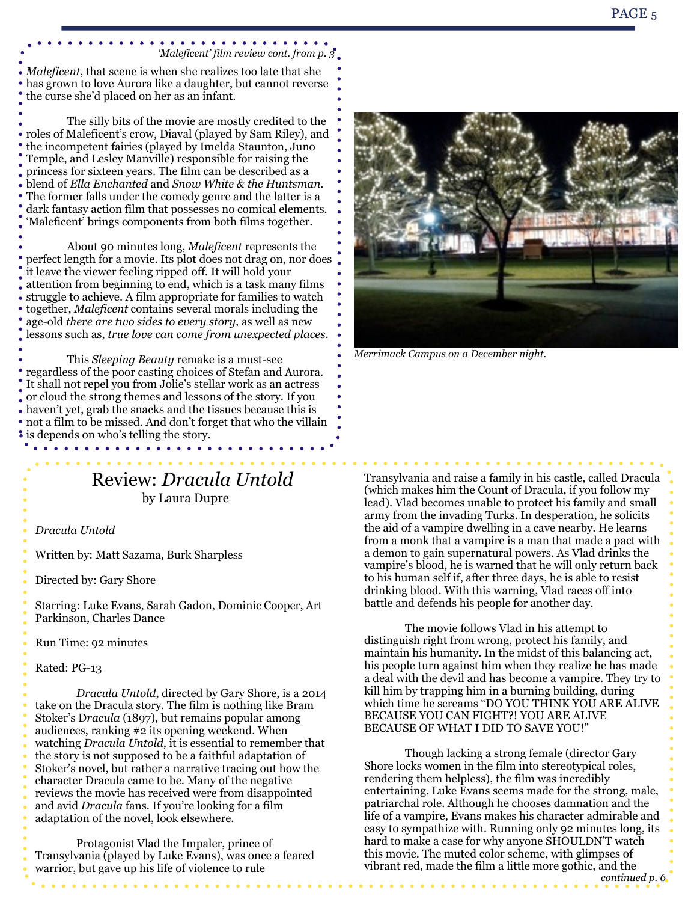#### . . . . . . . . . . *'Maleficent' film review cont. from p. 3*

*Maleficent*, that scene is when she realizes too late that she has grown to love Aurora like a daughter, but cannot reverse the curse she'd placed on her as an infant.

 The silly bits of the movie are mostly credited to the roles of Maleficent's crow, Diaval (played by Sam Riley), and the incompetent fairies (played by Imelda Staunton, Juno Temple, and Lesley Manville) responsible for raising the princess for sixteen years. The film can be described as a blend of *Ella Enchanted* and *Snow White & the Huntsman*. The former falls under the comedy genre and the latter is a dark fantasy action film that possesses no comical elements. 'Maleficent' brings components from both films together.

 About 90 minutes long, *Maleficent* represents the perfect length for a movie. Its plot does not drag on, nor does it leave the viewer feeling ripped off. It will hold your attention from beginning to end, which is a task many films struggle to achieve. A film appropriate for families to watch together, *Maleficent* contains several morals including the age-old *there are two sides to every story,* as well as new lessons such as, *true love can come from unexpected places*.

 This *Sleeping Beauty* remake is a must-see regardless of the poor casting choices of Stefan and Aurora. It shall not repel you from Jolie's stellar work as an actress or cloud the strong themes and lessons of the story. If you haven't yet, grab the snacks and the tissues because this is  $\bullet$ not a film to be missed. And don't forget that who the villain is depends on who's telling the story. . . . . . . . . . . . .

### Review: *Dracula Untold* by Laura Dupre

*Dracula Untold*

Written by: Matt Sazama, Burk Sharpless

Directed by: Gary Shore

Starring: Luke Evans, Sarah Gadon, Dominic Cooper, Art Parkinson, Charles Dance

Run Time: 92 minutes

Rated: PG-13

*Dracula Untold*, directed by Gary Shore, is a 2014 take on the Dracula story. The film is nothing like Bram Stoker's D*racula* (1897), but remains popular among audiences, ranking #2 its opening weekend. When watching *Dracula Untold*, it is essential to remember that the story is not supposed to be a faithful adaptation of Stoker's novel, but rather a narrative tracing out how the character Dracula came to be. Many of the negative reviews the movie has received were from disappointed and avid *Dracula* fans. If you're looking for a film adaptation of the novel, look elsewhere.

 Protagonist Vlad the Impaler, prince of Transylvania (played by Luke Evans), was once a feared warrior, but gave up his life of violence to rule



*Merrimack Campus on a December night.*

Transylvania and raise a family in his castle, called Dracula (which makes him the Count of Dracula, if you follow my lead). Vlad becomes unable to protect his family and small army from the invading Turks. In desperation, he solicits the aid of a vampire dwelling in a cave nearby. He learns from a monk that a vampire is a man that made a pact with a demon to gain supernatural powers. As Vlad drinks the vampire's blood, he is warned that he will only return back to his human self if, after three days, he is able to resist drinking blood. With this warning, Vlad races off into battle and defends his people for another day.

 The movie follows Vlad in his attempt to distinguish right from wrong, protect his family, and maintain his humanity. In the midst of this balancing act, his people turn against him when they realize he has made a deal with the devil and has become a vampire. They try to kill him by trapping him in a burning building, during which time he screams "DO YOU THINK YOU ARE ALIVE BECAUSE YOU CAN FIGHT?! YOU ARE ALIVE BECAUSE OF WHAT I DID TO SAVE YOU!"

 Though lacking a strong female (director Gary Shore locks women in the film into stereotypical roles, rendering them helpless), the film was incredibly entertaining. Luke Evans seems made for the strong, male, patriarchal role. Although he chooses damnation and the life of a vampire, Evans makes his character admirable and easy to sympathize with. Running only 92 minutes long, its hard to make a case for why anyone SHOULDN'T watch this movie. The muted color scheme, with glimpses of vibrant red, made the film a little more gothic, and the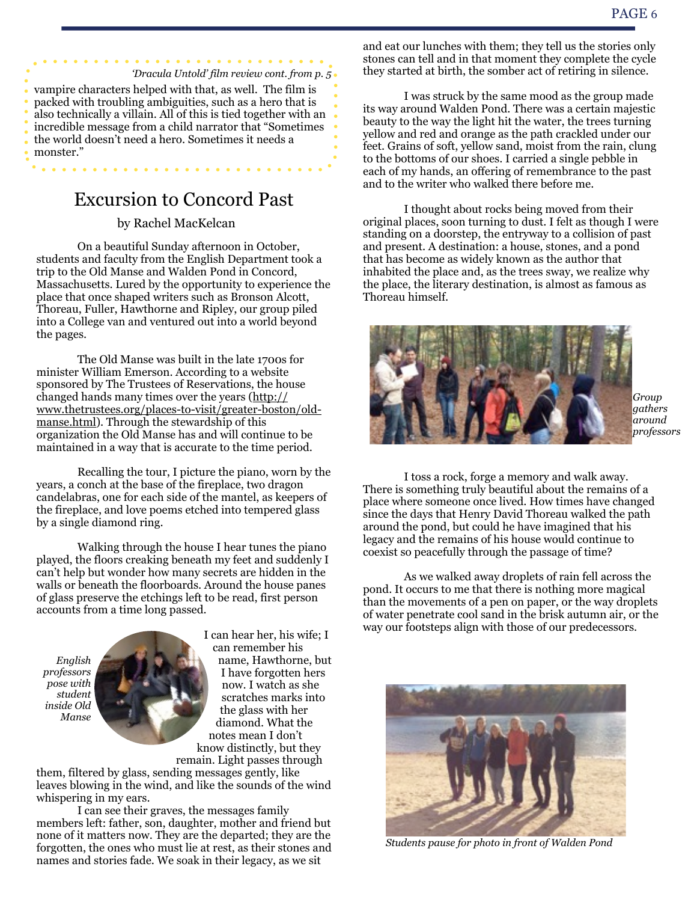*'Dracula Untold' film review cont. from p. 5* vampire characters helped with that, as well. The film is packed with troubling ambiguities, such as a hero that is also technically a villain. All of this is tied together with an incredible message from a child narrator that "Sometimes the world doesn't need a hero. Sometimes it needs a monster."

# Excursion to Concord Past

### by Rachel MacKelcan

On a beautiful Sunday afternoon in October, students and faculty from the English Department took a trip to the Old Manse and Walden Pond in Concord, Massachusetts. Lured by the opportunity to experience the place that once shaped writers such as Bronson Alcott, Thoreau, Fuller, Hawthorne and Ripley, our group piled into a College van and ventured out into a world beyond the pages.

The Old Manse was built in the late 1700s for minister William Emerson. According to a website sponsored by The Trustees of Reservations, the house changed hands many times over the years [\(http://](http://www.thetrustees.org/places-to-visit/greater-boston/old-manse.html) [www.thetrustees.org/places-to-visit/greater-boston/old](http://www.thetrustees.org/places-to-visit/greater-boston/old-manse.html)[manse.html\)](http://www.thetrustees.org/places-to-visit/greater-boston/old-manse.html). Through the stewardship of this organization the Old Manse has and will continue to be maintained in a way that is accurate to the time period.

Recalling the tour, I picture the piano, worn by the years, a conch at the base of the fireplace, two dragon candelabras, one for each side of the mantel, as keepers of the fireplace, and love poems etched into tempered glass by a single diamond ring.

Walking through the house I hear tunes the piano played, the floors creaking beneath my feet and suddenly I can't help but wonder how many secrets are hidden in the walls or beneath the floorboards. Around the house panes of glass preserve the etchings left to be read, first person accounts from a time long passed.



I can hear her, his wife; I can remember his name, Hawthorne, but I have forgotten hers now. I watch as she scratches marks into the glass with her diamond. What the notes mean I don't know distinctly, but they remain. Light passes through

them, filtered by glass, sending messages gently, like leaves blowing in the wind, and like the sounds of the wind whispering in my ears.

I can see their graves, the messages family members left: father, son, daughter, mother and friend but none of it matters now. They are the departed; they are the forgotten, the ones who must lie at rest, as their stones and names and stories fade. We soak in their legacy, as we sit

and eat our lunches with them; they tell us the stories only stones can tell and in that moment they complete the cycle they started at birth, the somber act of retiring in silence.

I was struck by the same mood as the group made its way around Walden Pond. There was a certain majestic beauty to the way the light hit the water, the trees turning yellow and red and orange as the path crackled under our feet. Grains of soft, yellow sand, moist from the rain, clung to the bottoms of our shoes. I carried a single pebble in each of my hands, an offering of remembrance to the past and to the writer who walked there before me.

I thought about rocks being moved from their original places, soon turning to dust. I felt as though I were standing on a doorstep, the entryway to a collision of past and present. A destination: a house, stones, and a pond that has become as widely known as the author that inhabited the place and, as the trees sway, we realize why the place, the literary destination, is almost as famous as Thoreau himself.



*Group gathers around professors*

I toss a rock, forge a memory and walk away. There is something truly beautiful about the remains of a place where someone once lived. How times have changed since the days that Henry David Thoreau walked the path around the pond, but could he have imagined that his legacy and the remains of his house would continue to coexist so peacefully through the passage of time?

As we walked away droplets of rain fell across the pond. It occurs to me that there is nothing more magical than the movements of a pen on paper, or the way droplets of water penetrate cool sand in the brisk autumn air, or the way our footsteps align with those of our predecessors.



*Students pause for photo in front of Walden Pond*